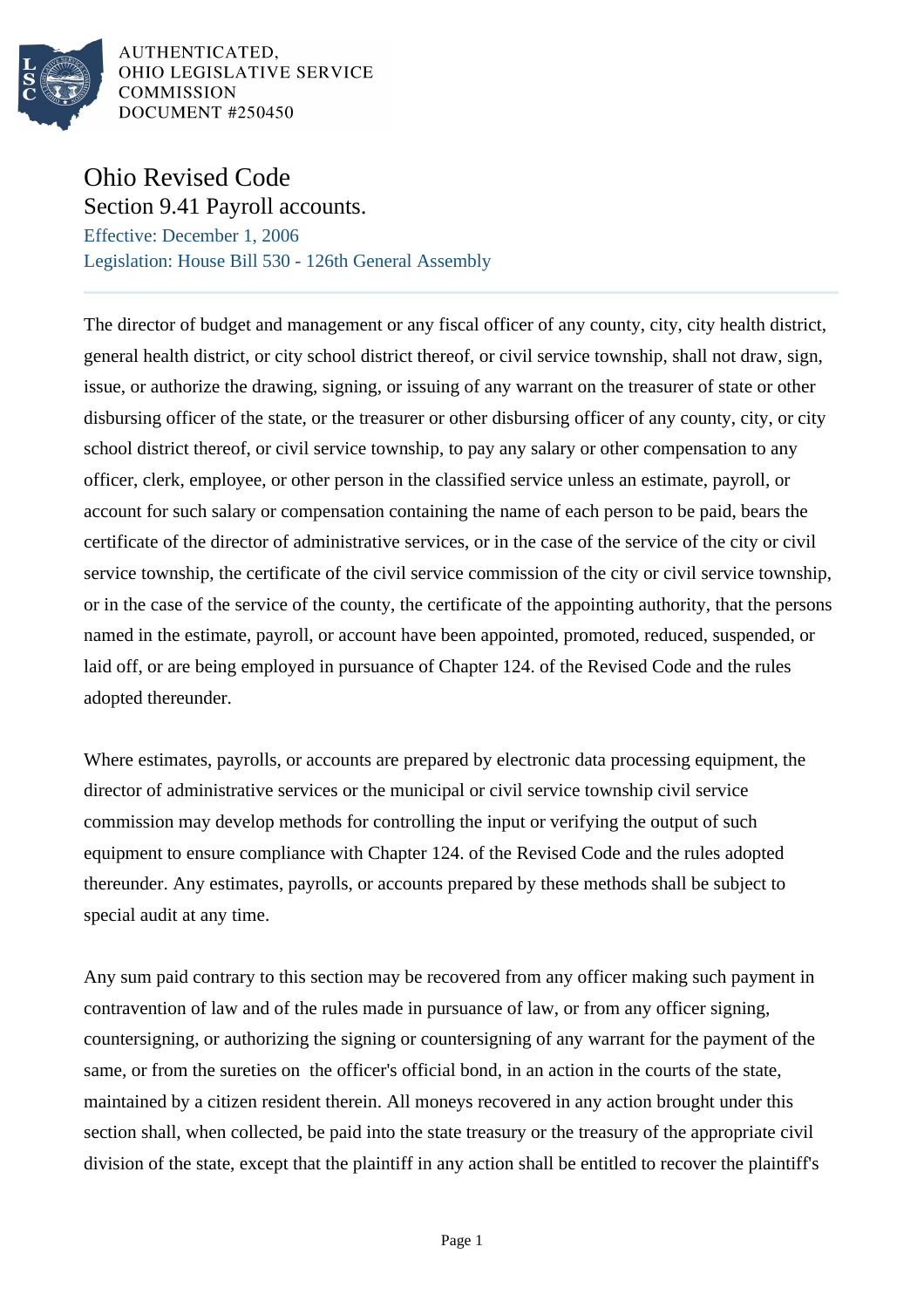

AUTHENTICATED, OHIO LEGISLATIVE SERVICE **COMMISSION** DOCUMENT #250450

## Ohio Revised Code Section 9.41 Payroll accounts.

Effective: December 1, 2006 Legislation: House Bill 530 - 126th General Assembly

The director of budget and management or any fiscal officer of any county, city, city health district, general health district, or city school district thereof, or civil service township, shall not draw, sign, issue, or authorize the drawing, signing, or issuing of any warrant on the treasurer of state or other disbursing officer of the state, or the treasurer or other disbursing officer of any county, city, or city school district thereof, or civil service township, to pay any salary or other compensation to any officer, clerk, employee, or other person in the classified service unless an estimate, payroll, or account for such salary or compensation containing the name of each person to be paid, bears the certificate of the director of administrative services, or in the case of the service of the city or civil service township, the certificate of the civil service commission of the city or civil service township, or in the case of the service of the county, the certificate of the appointing authority, that the persons named in the estimate, payroll, or account have been appointed, promoted, reduced, suspended, or laid off, or are being employed in pursuance of Chapter 124. of the Revised Code and the rules adopted thereunder.

Where estimates, payrolls, or accounts are prepared by electronic data processing equipment, the director of administrative services or the municipal or civil service township civil service commission may develop methods for controlling the input or verifying the output of such equipment to ensure compliance with Chapter 124. of the Revised Code and the rules adopted thereunder. Any estimates, payrolls, or accounts prepared by these methods shall be subject to special audit at any time.

Any sum paid contrary to this section may be recovered from any officer making such payment in contravention of law and of the rules made in pursuance of law, or from any officer signing, countersigning, or authorizing the signing or countersigning of any warrant for the payment of the same, or from the sureties on the officer's official bond, in an action in the courts of the state, maintained by a citizen resident therein. All moneys recovered in any action brought under this section shall, when collected, be paid into the state treasury or the treasury of the appropriate civil division of the state, except that the plaintiff in any action shall be entitled to recover the plaintiff's